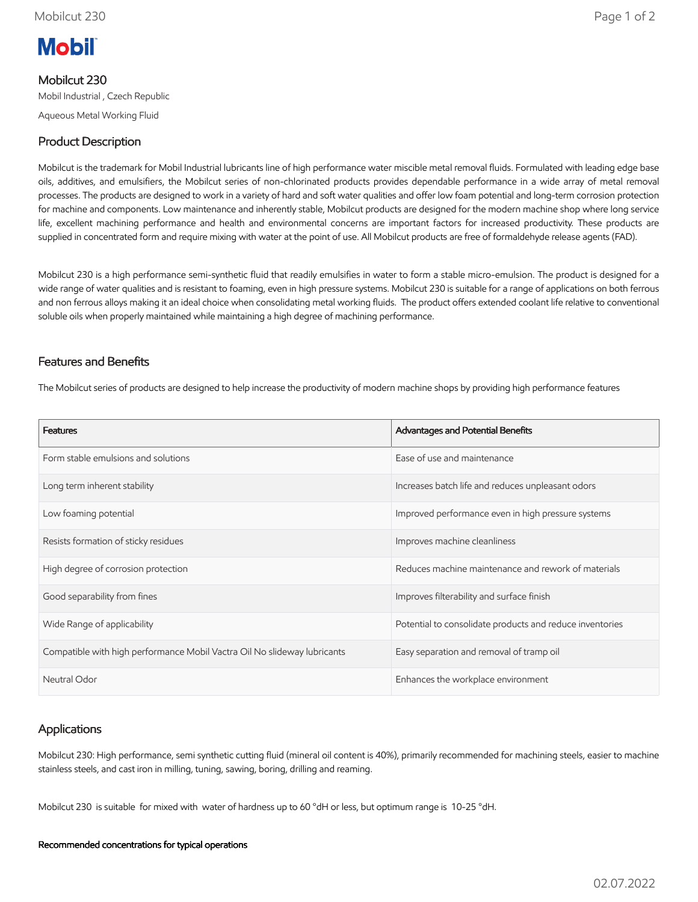# **Mobil**

## Mobilcut 230

Mobil Industrial , Czech Republic

Aqueous Metal Working Fluid

## Product Description

Mobilcut is the trademark for Mobil Industrial lubricants line of high performance water miscible metal removal fluids. Formulated with leading edge base oils, additives, and emulsifiers, the Mobilcut series of non-chlorinated products provides dependable performance in a wide array of metal removal processes. The products are designed to work in a variety of hard and soft water qualities and offer low foam potential and long-term corrosion protection for machine and components. Low maintenance and inherently stable, Mobilcut products are designed for the modern machine shop where long service life, excellent machining performance and health and environmental concerns are important factors for increased productivity. These products are supplied in concentrated form and require mixing with water at the point of use. All Mobilcut products are free of formaldehyde release agents (FAD).

Mobilcut 230 is a high performance semi-synthetic fluid that readily emulsifies in water to form a stable micro-emulsion. The product is designed for a wide range of water qualities and is resistant to foaming, even in high pressure systems. Mobilcut 230 is suitable for a range of applications on both ferrous and non ferrous alloys making it an ideal choice when consolidating metal working fluids. The product offers extended coolant life relative to conventional soluble oils when properly maintained while maintaining a high degree of machining performance.

### Features and Benefits

The Mobilcut series of products are designed to help increase the productivity of modern machine shops by providing high performance features

| <b>Features</b>                                                          | Advantages and Potential Benefits                        |
|--------------------------------------------------------------------------|----------------------------------------------------------|
| Form stable emulsions and solutions                                      | Ease of use and maintenance                              |
| Long term inherent stability                                             | Increases batch life and reduces unpleasant odors        |
| Low foaming potential                                                    | Improved performance even in high pressure systems       |
| Resists formation of sticky residues                                     | Improves machine cleanliness                             |
| High degree of corrosion protection                                      | Reduces machine maintenance and rework of materials      |
| Good separability from fines                                             | Improves filterability and surface finish                |
| Wide Range of applicability                                              | Potential to consolidate products and reduce inventories |
| Compatible with high performance Mobil Vactra Oil No slideway lubricants | Easy separation and removal of tramp oil                 |
| Neutral Odor                                                             | Enhances the workplace environment                       |

#### Applications

Mobilcut 230: High performance, semi synthetic cutting fluid (mineral oil content is 40%), primarily recommended for machining steels, easier to machine stainless steels, and cast iron in milling, tuning, sawing, boring, drilling and reaming.

Mobilcut 230 is suitable for mixed with water of hardness up to 60 °dH or less, but optimum range is 10-25 °dH.